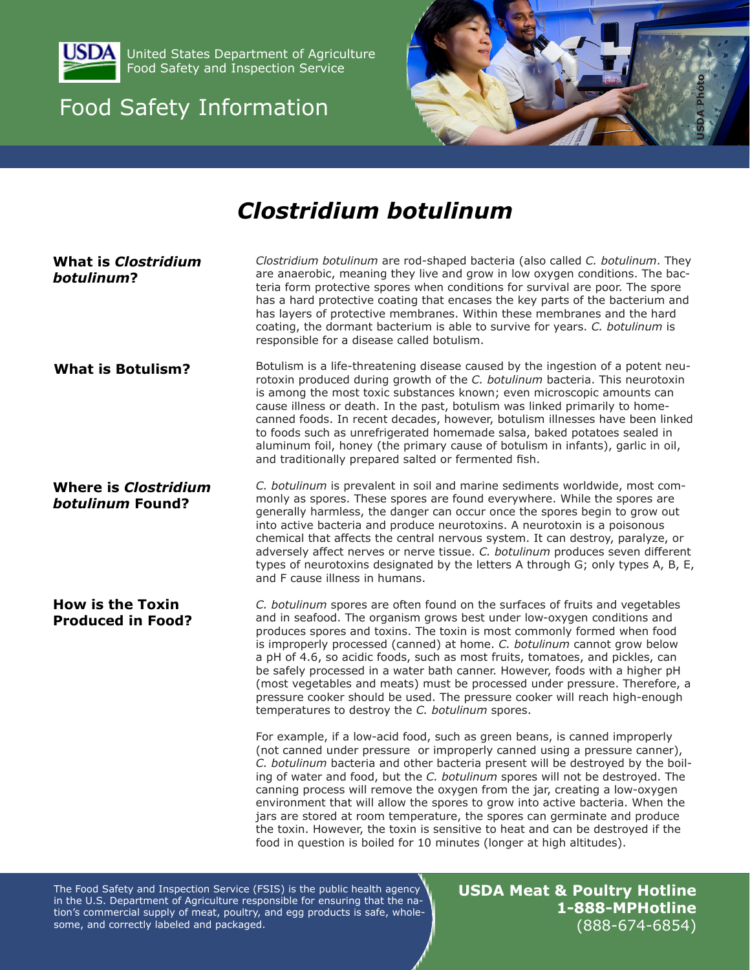

United States Department of Agriculture Food Safety and Inspection Service

# Food Safety Information



# *Clostridium botulinum*

**What is** *Clostridium botulinum***? Where is** *Clostridium botulinum* **Found? How is the Toxin Produced in Food? What is Botulism?**  *Clostridium botulinum* are rod-shaped bacteria (also called *C. botulinum*. They are anaerobic, meaning they live and grow in low oxygen conditions. The bacteria form protective spores when conditions for survival are poor. The spore has a hard protective coating that encases the key parts of the bacterium and has layers of protective membranes. Within these membranes and the hard coating, the dormant bacterium is able to survive for years. *C. botulinum* is responsible for a disease called botulism. Botulism is a life-threatening disease caused by the ingestion of a potent neurotoxin produced during growth of the *C. botulinum* bacteria. This neurotoxin is among the most toxic substances known; even microscopic amounts can cause illness or death. In the past, botulism was linked primarily to homecanned foods. In recent decades, however, botulism illnesses have been linked to foods such as unrefrigerated homemade salsa, baked potatoes sealed in aluminum foil, honey (the primary cause of botulism in infants), garlic in oil, and traditionally prepared salted or fermented fish. *C. botulinum* is prevalent in soil and marine sediments worldwide, most commonly as spores. These spores are found everywhere. While the spores are generally harmless, the danger can occur once the spores begin to grow out into active bacteria and produce neurotoxins. A neurotoxin is a poisonous chemical that affects the central nervous system. It can destroy, paralyze, or adversely affect nerves or nerve tissue. *C. botulinum* produces seven different types of neurotoxins designated by the letters A through G; only types A, B, E, and F cause illness in humans. *C. botulinum* spores are often found on the surfaces of fruits and vegetables and in seafood. The organism grows best under low-oxygen conditions and produces spores and toxins. The toxin is most commonly formed when food is improperly processed (canned) at home. *C. botulinum* cannot grow below a pH of 4.6, so acidic foods, such as most fruits, tomatoes, and pickles, can be safely processed in a water bath canner. However, foods with a higher pH (most vegetables and meats) must be processed under pressure. Therefore, a pressure cooker should be used. The pressure cooker will reach high-enough temperatures to destroy the *C. botulinum* spores. For example, if a low-acid food, such as green beans, is canned improperly (not canned under pressure or improperly canned using a pressure canner), *C. botulinum* bacteria and other bacteria present will be destroyed by the boiling of water and food, but the *C. botulinum* spores will not be destroyed. The canning process will remove the oxygen from the jar, creating a low-oxygen environment that will allow the spores to grow into active bacteria. When the jars are stored at room temperature, the spores can germinate and produce the toxin. However, the toxin is sensitive to heat and can be destroyed if the food in question is boiled for 10 minutes (longer at high altitudes).

The Food Safety and Inspection Service (FSIS) is the public health agency in the U.S. Department of Agriculture responsible for ensuring that the nation's commercial supply of meat, poultry, and egg products is safe, wholesome, and correctly labeled and packaged.

**USDA Meat & Poultry Hotline 1-888-MPHotline** (888-674-6854)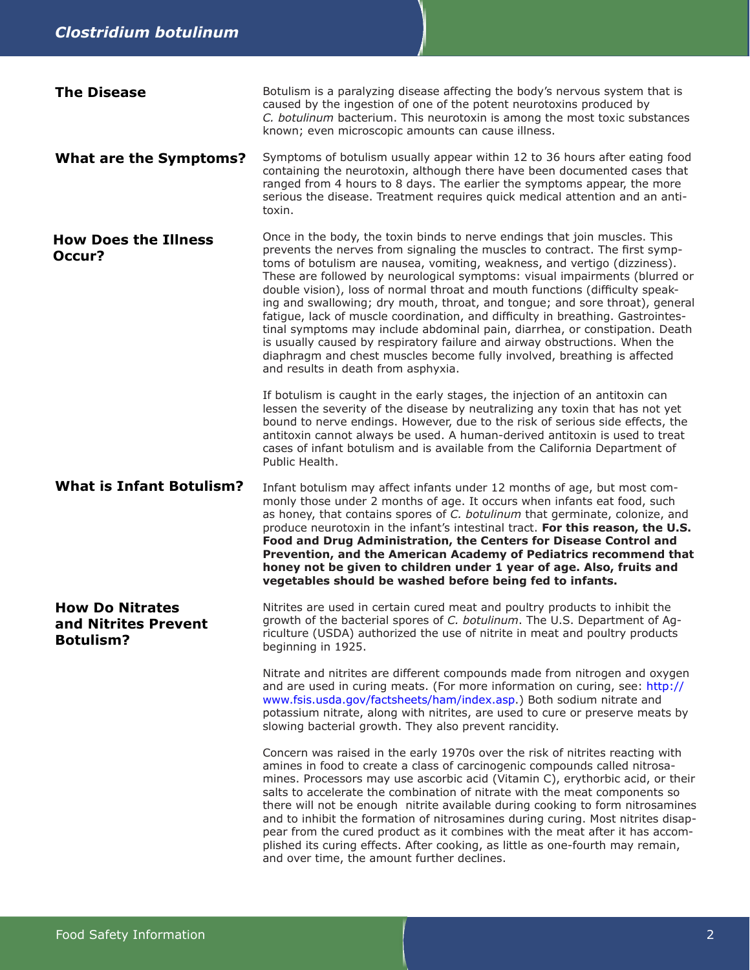| <b>The Disease</b>                                                 | Botulism is a paralyzing disease affecting the body's nervous system that is<br>caused by the ingestion of one of the potent neurotoxins produced by<br>C. botulinum bacterium. This neurotoxin is among the most toxic substances<br>known; even microscopic amounts can cause illness.                                                                                                                                                                                                                                                                                                                                                                                                                                                                                                                                                                 |
|--------------------------------------------------------------------|----------------------------------------------------------------------------------------------------------------------------------------------------------------------------------------------------------------------------------------------------------------------------------------------------------------------------------------------------------------------------------------------------------------------------------------------------------------------------------------------------------------------------------------------------------------------------------------------------------------------------------------------------------------------------------------------------------------------------------------------------------------------------------------------------------------------------------------------------------|
| <b>What are the Symptoms?</b>                                      | Symptoms of botulism usually appear within 12 to 36 hours after eating food<br>containing the neurotoxin, although there have been documented cases that<br>ranged from 4 hours to 8 days. The earlier the symptoms appear, the more<br>serious the disease. Treatment requires quick medical attention and an anti-<br>toxin.                                                                                                                                                                                                                                                                                                                                                                                                                                                                                                                           |
| <b>How Does the Illness</b><br>Occur?                              | Once in the body, the toxin binds to nerve endings that join muscles. This<br>prevents the nerves from signaling the muscles to contract. The first symp-<br>toms of botulism are nausea, vomiting, weakness, and vertigo (dizziness).<br>These are followed by neurological symptoms: visual impairments (blurred or<br>double vision), loss of normal throat and mouth functions (difficulty speak-<br>ing and swallowing; dry mouth, throat, and tongue; and sore throat), general<br>fatigue, lack of muscle coordination, and difficulty in breathing. Gastrointes-<br>tinal symptoms may include abdominal pain, diarrhea, or constipation. Death<br>is usually caused by respiratory failure and airway obstructions. When the<br>diaphragm and chest muscles become fully involved, breathing is affected<br>and results in death from asphyxia. |
|                                                                    | If botulism is caught in the early stages, the injection of an antitoxin can<br>lessen the severity of the disease by neutralizing any toxin that has not yet<br>bound to nerve endings. However, due to the risk of serious side effects, the<br>antitoxin cannot always be used. A human-derived antitoxin is used to treat<br>cases of infant botulism and is available from the California Department of<br>Public Health.                                                                                                                                                                                                                                                                                                                                                                                                                           |
| <b>What is Infant Botulism?</b>                                    | Infant botulism may affect infants under 12 months of age, but most com-<br>monly those under 2 months of age. It occurs when infants eat food, such<br>as honey, that contains spores of C. botulinum that germinate, colonize, and<br>produce neurotoxin in the infant's intestinal tract. For this reason, the U.S.<br>Food and Drug Administration, the Centers for Disease Control and<br>Prevention, and the American Academy of Pediatrics recommend that<br>honey not be given to children under 1 year of age. Also, fruits and<br>vegetables should be washed before being fed to infants.                                                                                                                                                                                                                                                     |
| <b>How Do Nitrates</b><br>and Nitrites Prevent<br><b>Botulism?</b> | Nitrites are used in certain cured meat and poultry products to inhibit the<br>growth of the bacterial spores of C. botulinum. The U.S. Department of Ag-<br>riculture (USDA) authorized the use of nitrite in meat and poultry products<br>beginning in 1925.                                                                                                                                                                                                                                                                                                                                                                                                                                                                                                                                                                                           |
|                                                                    | Nitrate and nitrites are different compounds made from nitrogen and oxygen<br>and are used in curing meats. (For more information on curing, see: http://<br>www.fsis.usda.gov/factsheets/ham/index.asp.) Both sodium nitrate and<br>potassium nitrate, along with nitrites, are used to cure or preserve meats by<br>slowing bacterial growth. They also prevent rancidity.                                                                                                                                                                                                                                                                                                                                                                                                                                                                             |
|                                                                    | Concern was raised in the early 1970s over the risk of nitrites reacting with<br>amines in food to create a class of carcinogenic compounds called nitrosa-<br>mines. Processors may use ascorbic acid (Vitamin C), erythorbic acid, or their<br>salts to accelerate the combination of nitrate with the meat components so<br>there will not be enough nitrite available during cooking to form nitrosamines<br>and to inhibit the formation of nitrosamines during curing. Most nitrites disap-<br>pear from the cured product as it combines with the meat after it has accom-<br>plished its curing effects. After cooking, as little as one-fourth may remain,<br>and over time, the amount further declines.                                                                                                                                       |